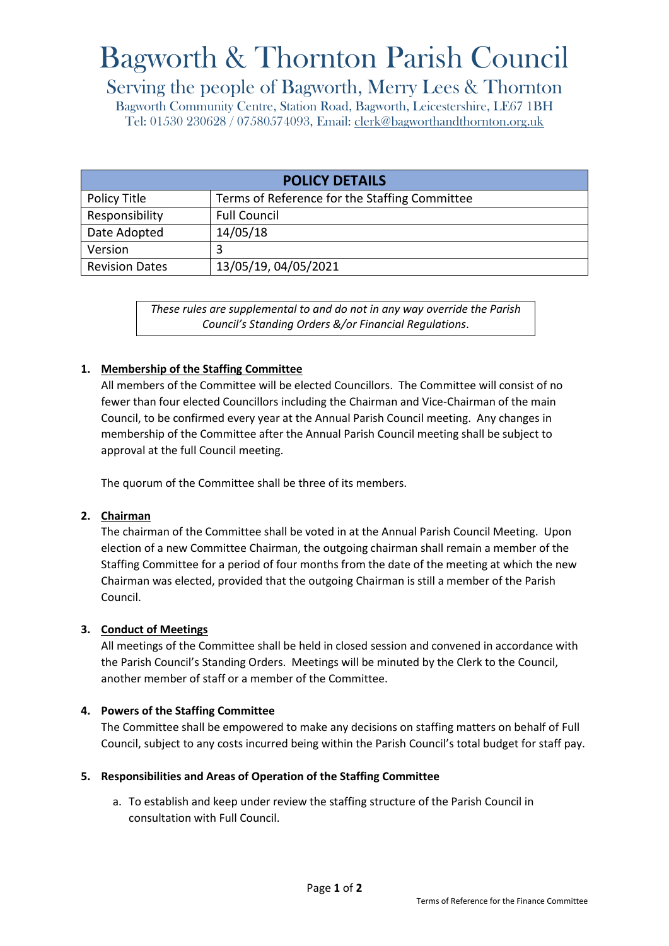# Bagworth & Thornton Parish Council

## Serving the people of Bagworth, Merry Lees & Thornton

Bagworth Community Centre, Station Road, Bagworth, Leicestershire, LE67 1BH Tel: 01530 230628 / 07580574093, Email: [clerk@bagworthandthornton.org.uk](mailto:clerk@bagworthandthornton.org.uk)

| <b>POLICY DETAILS</b> |                                               |
|-----------------------|-----------------------------------------------|
| Policy Title          | Terms of Reference for the Staffing Committee |
| Responsibility        | <b>Full Council</b>                           |
| Date Adopted          | 14/05/18                                      |
| Version               | 3                                             |
| <b>Revision Dates</b> | 13/05/19, 04/05/2021                          |

*These rules are supplemental to and do not in any way override the Parish Council's Standing Orders &/or Financial Regulations*.

### **1. Membership of the Staffing Committee**

All members of the Committee will be elected Councillors. The Committee will consist of no fewer than four elected Councillors including the Chairman and Vice-Chairman of the main Council, to be confirmed every year at the Annual Parish Council meeting. Any changes in membership of the Committee after the Annual Parish Council meeting shall be subject to approval at the full Council meeting.

The quorum of the Committee shall be three of its members.

#### **2. Chairman**

The chairman of the Committee shall be voted in at the Annual Parish Council Meeting. Upon election of a new Committee Chairman, the outgoing chairman shall remain a member of the Staffing Committee for a period of four months from the date of the meeting at which the new Chairman was elected, provided that the outgoing Chairman is still a member of the Parish Council.

#### **3. Conduct of Meetings**

All meetings of the Committee shall be held in closed session and convened in accordance with the Parish Council's Standing Orders. Meetings will be minuted by the Clerk to the Council, another member of staff or a member of the Committee.

#### **4. Powers of the Staffing Committee**

The Committee shall be empowered to make any decisions on staffing matters on behalf of Full Council, subject to any costs incurred being within the Parish Council's total budget for staff pay.

#### **5. Responsibilities and Areas of Operation of the Staffing Committee**

a. To establish and keep under review the staffing structure of the Parish Council in consultation with Full Council.